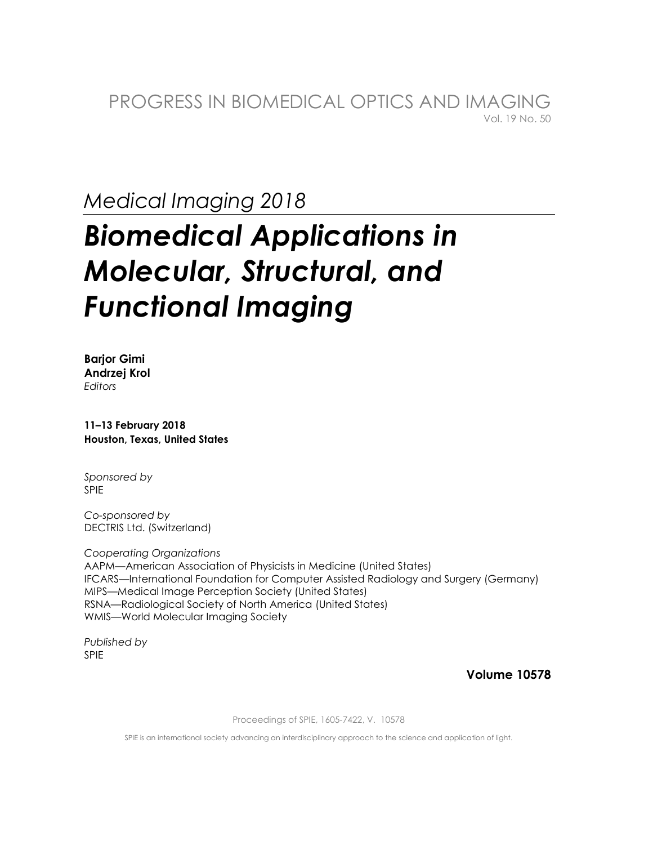PROGRESS IN BIOMEDICAL OPTICS AND IMAGING Vol. 19 No. 50

**Medical Imaging 2018** 

# **Biomedical Applications in Molecular, Structural, and Functional Imaging**

**Barjor Gimi** Andrzej Krol Editors

11-13 February 2018 Houston, Texas, United States

Sponsored by **SPIE** 

Co-sponsored by DECTRIS Ltd. (Switzerland)

**Cooperating Organizations** AAPM-American Association of Physicists in Medicine (United States) IFCARS—International Foundation for Computer Assisted Radiology and Surgery (Germany) MIPS-Medical Image Perception Society (United States) RSNA-Radiological Society of North America (United States) WMIS-World Molecular Imaging Society

Published by **SPIE** 

**Volume 10578** 

Proceedings of SPIE, 1605-7422, V. 10578

SPIE is an international society advancing an interdisciplinary approach to the science and application of light.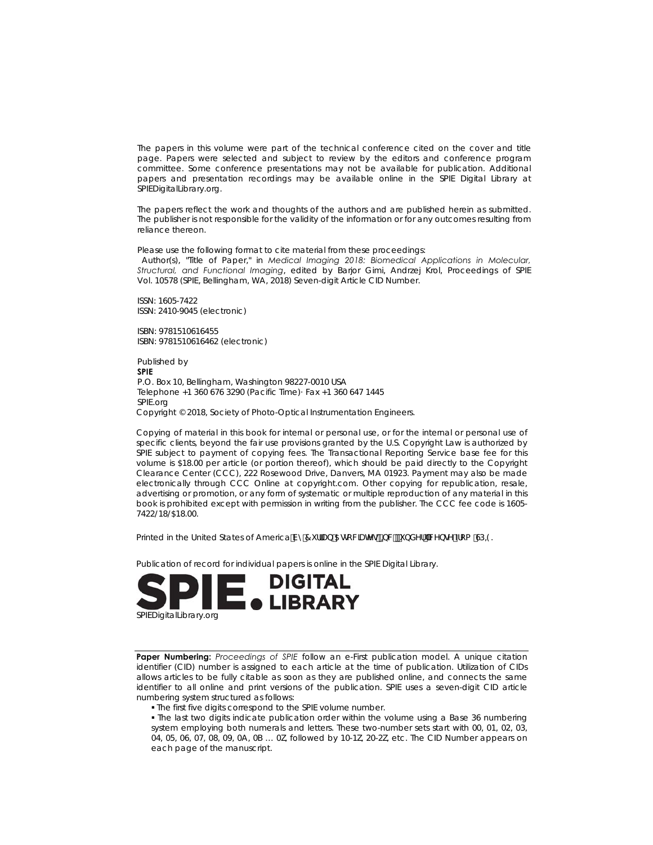The papers in this volume were part of the technical conference cited on the cover and title page. Papers were selected and subject to review by the editors and conference program committee. Some conference presentations may not be available for publication. Additional papers and presentation recordings may be available online in the SPIE Digital Library at SPIEDigitalLibrary.org.

The papers reflect the work and thoughts of the authors and are published herein as submitted. The publisher is not responsible for the validity of the information or for any outcomes resulting from reliance thereon.

Please use the following format to cite material from these proceedings:

 Author(s), "Title of Paper," in *Medical Imaging 2018: Biomedical Applications in Molecular, Structural, and Functional Imaging*, edited by Barjor Gimi, Andrzej Krol, Proceedings of SPIE Vol. 10578 (SPIE, Bellingham, WA, 2018) Seven-digit Article CID Number.

ISSN: 1605-7422 ISSN: 2410-9045 (electronic)

ISBN: 9781510616455 ISBN: 9781510616462 (electronic)

Published by **SPIE**  P.O. Box 10, Bellingham, Washington 98227-0010 USA Telephone +1 360 676 3290 (Pacific Time)· Fax +1 360 647 1445 SPIE.org Copyright © 2018, Society of Photo-Optical Instrumentation Engineers.

Copying of material in this book for internal or personal use, or for the internal or personal use of specific clients, beyond the fair use provisions granted by the U.S. Copyright Law is authorized by SPIE subject to payment of copying fees. The Transactional Reporting Service base fee for this volume is \$18.00 per article (or portion thereof), which should be paid directly to the Copyright Clearance Center (CCC), 222 Rosewood Drive, Danvers, MA 01923. Payment may also be made electronically through CCC Online at copyright.com. Other copying for republication, resale, advertising or promotion, or any form of systematic or multiple reproduction of any material in this book is prohibited except with permission in writing from the publisher. The CCC fee code is 1605- 7422/18/\$18.00.

Printed in the United States of America Vm7 if fUb 5 opp WUH of  $\phi$  with DXYf W bol Tea GD-9.

Publication of record for individual papers is online in the SPIE Digital Library.



**Paper Numbering:** *Proceedings of SPIE* follow an e-First publication model. A unique citation identifier (CID) number is assigned to each article at the time of publication. Utilization of CIDs allows articles to be fully citable as soon as they are published online, and connects the same identifier to all online and print versions of the publication. SPIE uses a seven-digit CID article numbering system structured as follows:

The first five digits correspond to the SPIE volume number.

 The last two digits indicate publication order within the volume using a Base 36 numbering system employing both numerals and letters. These two-number sets start with 00, 01, 02, 03, 04, 05, 06, 07, 08, 09, 0A, 0B … 0Z, followed by 10-1Z, 20-2Z, etc. The CID Number appears on each page of the manuscript.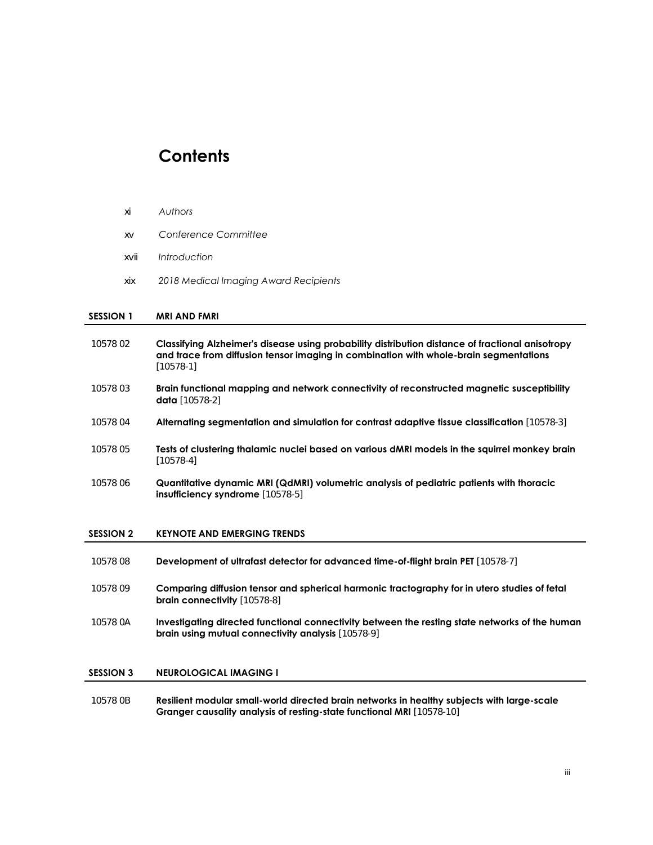# **Contents**

# xi *Authors*

- xv *Conference Committee*
- xvii *Introduction*
- xix *2018 Medical Imaging Award Recipients*

# **SESSION 1 MRI AND FMRI**

| 10578 02         | Classifying Alzheimer's disease using probability distribution distance of fractional anisotropy<br>and trace from diffusion tensor imaging in combination with whole-brain segmentations<br>$[10578-1]$ |
|------------------|----------------------------------------------------------------------------------------------------------------------------------------------------------------------------------------------------------|
| 10578 03         | Brain functional mapping and network connectivity of reconstructed magnetic susceptibility<br><b>data</b> $[10578-2]$                                                                                    |
| 10578 04         | Alternating segmentation and simulation for contrast adaptive tissue classification [10578-3]                                                                                                            |
| 10578 05         | Tests of clustering thalamic nuclei based on various dMRI models in the squirrel monkey brain<br>$[10578-4]$                                                                                             |
| 1057806          | Quantitative dynamic MRI (QdMRI) volumetric analysis of pediatric patients with thoracic<br>insufficiency syndrome [10578-5]                                                                             |
| <b>SESSION 2</b> | <b>KEYNOTE AND EMERGING TRENDS</b>                                                                                                                                                                       |
| 1057808          | Development of ultrafast detector for advanced time-of-flight brain PET [10578-7]                                                                                                                        |
| 10578 09         | Comparing diffusion tensor and spherical harmonic tractography for in utero studies of fetal<br>brain connectivity [10578-8]                                                                             |
| 10578 0A         | Investigating directed functional connectivity between the resting state networks of the human<br>brain using mutual connectivity analysis [10578-9]                                                     |
| <b>SESSION 3</b> | <b>NEUROLOGICAL IMAGING I</b>                                                                                                                                                                            |
| 10578 OB         | Resilient modular small-world directed brain networks in healthy subjects with large-scale<br>Granger causality analysis of resting-state functional MRI [10578-10]                                      |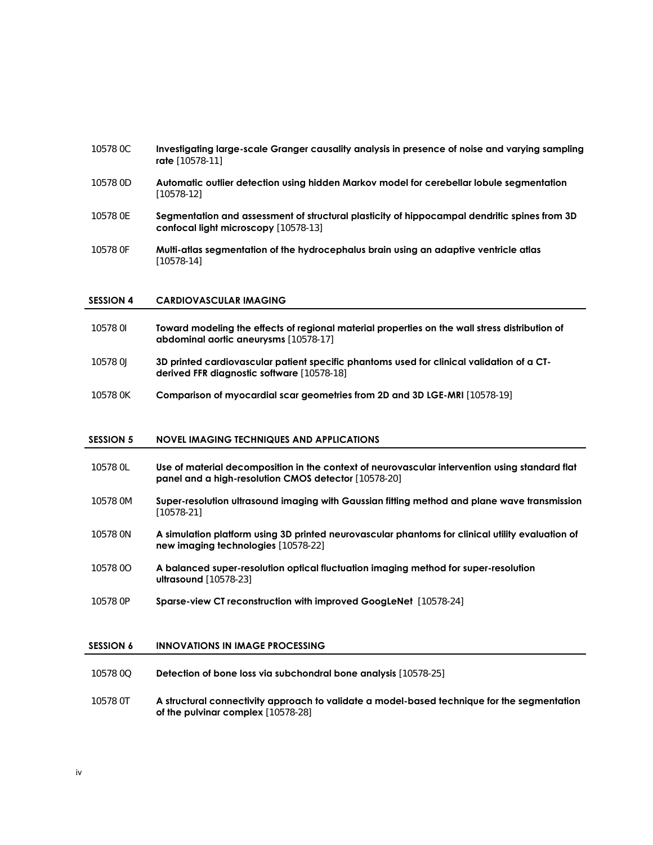# 10578 0C **Investigating large-scale Granger causality analysis in presence of noise and varying sampling rate** [10578-11]

- 10578 0D **Automatic outlier detection using hidden Markov model for cerebellar lobule segmentation** [10578-12]
- 10578 0E **Segmentation and assessment of structural plasticity of hippocampal dendritic spines from 3D confocal light microscopy** [10578-13]
- 10578 0F **Multi-atlas segmentation of the hydrocephalus brain using an adaptive ventricle atlas** [10578-14]

#### **SESSION 4 CARDIOVASCULAR IMAGING**

- 10578 0I **Toward modeling the effects of regional material properties on the wall stress distribution of abdominal aortic aneurysms** [10578-17]
- 10578 0J **3D printed cardiovascular patient specific phantoms used for clinical validation of a CTderived FFR diagnostic software** [10578-18]
- 10578 0K **Comparison of myocardial scar geometries from 2D and 3D LGE-MRI** [10578-19]

## **SESSION 5 NOVEL IMAGING TECHNIQUES AND APPLICATIONS**

- 10578 0L **Use of material decomposition in the context of neurovascular intervention using standard flat panel and a high-resolution CMOS detector** [10578-20]
- 10578 0M **Super-resolution ultrasound imaging with Gaussian fitting method and plane wave transmission** [10578-21]
- 10578 0N **A simulation platform using 3D printed neurovascular phantoms for clinical utility evaluation of new imaging technologies** [10578-22]
- 10578 0O **A balanced super-resolution optical fluctuation imaging method for super-resolution ultrasound** [10578-23]
- 10578 0P **Sparse-view CT reconstruction with improved GoogLeNet** [10578-24]

# **SESSION 6 INNOVATIONS IN IMAGE PROCESSING**

- 10578 0Q **Detection of bone loss via subchondral bone analysis** [10578-25]
- 10578 0T **A structural connectivity approach to validate a model-based technique for the segmentation of the pulvinar complex** [10578-28]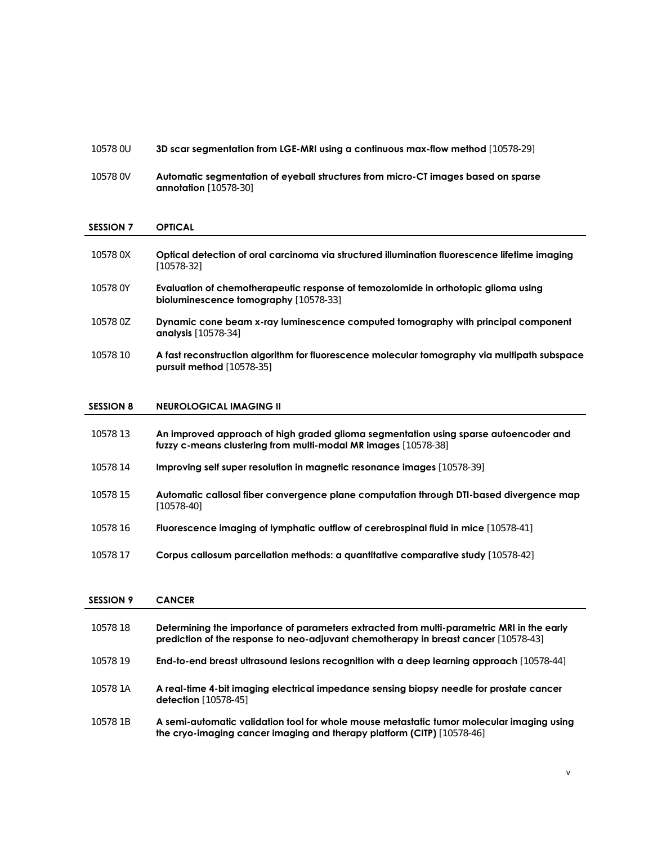# 10578 0U **3D scar segmentation from LGE-MRI using a continuous max-flow method** [10578-29]

10578 0V **Automatic segmentation of eyeball structures from micro-CT images based on sparse annotation** [10578-30]

# **SESSION 7 OPTICAL**

| 10578 0X | Optical detection of oral carcinoma via structured illumination fluorescence lifetime imaging<br>[10578-32]                        |
|----------|------------------------------------------------------------------------------------------------------------------------------------|
| 10578 0Y | Evaluation of chemotherapeutic response of temozolomide in orthotopic glioma using<br><b>bioluminescence tomography</b> [10578-33] |
| 10578 0Z | Dynamic cone beam x-ray luminescence computed tomography with principal component<br><b>analysis</b> [10578-34]                    |
| 10578 10 | A fast reconstruction algorithm for fluorescence molecular tomography via multipath subspace<br>pursuit method $[10578-35]$        |

# **SESSION 8 NEUROLOGICAL IMAGING II**

| 10578 13 | An improved approach of high graded glioma segmentation using sparse autoencoder and<br>fuzzy c-means clustering from multi-modal MR images [10578-38] |
|----------|--------------------------------------------------------------------------------------------------------------------------------------------------------|
| 10578 14 | Improving self super resolution in magnetic resonance images [10578-39]                                                                                |
| 10578 15 | Automatic callosal fiber convergence plane computation through DTI-based divergence map<br>[10578-40]                                                  |
| 10578 16 | <b>Fluorescence imaging of lymphatic outflow of cerebrospinal fluid in mice</b> [10578-41]                                                             |
| 10578 17 | <b>Corpus callosum parcellation methods: a quantitative comparative study</b> [10578-42]                                                               |

### **SESSION 9 CANCER**

| 10578 18 | Determining the importance of parameters extracted from multi-parametric MRI in the early<br>prediction of the response to neo-adjuvant chemotherapy in breast cancer [10578-43] |
|----------|----------------------------------------------------------------------------------------------------------------------------------------------------------------------------------|
| 10578 19 | <b>End-to-end breast ultrasound lesions recognition with a deep learning approach</b> [10578-44]                                                                                 |
| 10578 1A | A real-time 4-bit imaging electrical impedance sensing biopsy needle for prostate cancer<br><b>detection</b> [10578-45]                                                          |
| 10578 1B | A semi-automatic validation tool for whole mouse metastatic tumor molecular imaging using<br>the cryo-imaging cancer imaging and therapy platform (CITP) [10578-46]              |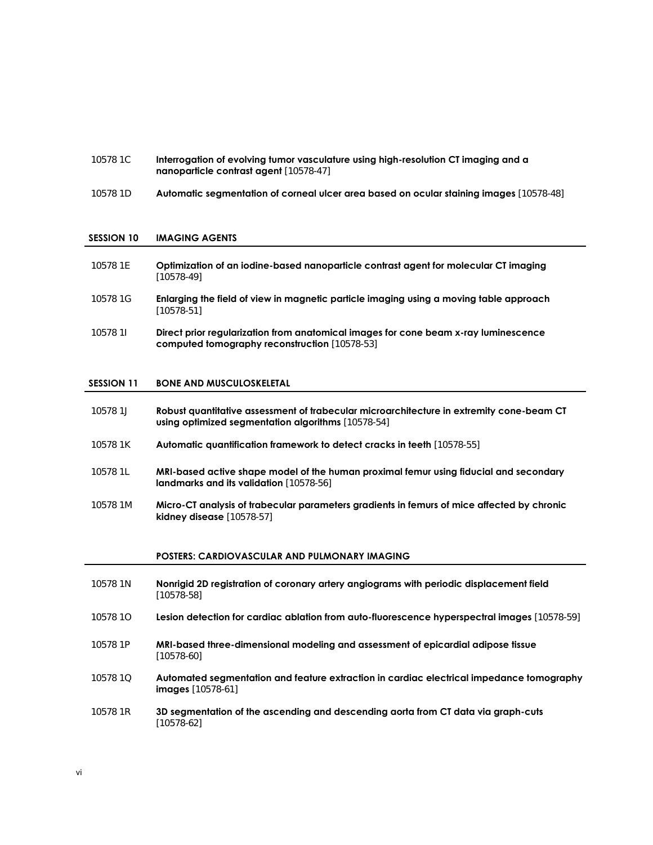- 10578 1C **Interrogation of evolving tumor vasculature using high-resolution CT imaging and a nanoparticle contrast agent** [10578-47]
- 10578 1D **Automatic segmentation of corneal ulcer area based on ocular staining images** [10578-48]

#### **SESSION 10 IMAGING AGENTS**

- 10578 1E **Optimization of an iodine-based nanoparticle contrast agent for molecular CT imaging** [10578-49]
- 10578 1G **Enlarging the field of view in magnetic particle imaging using a moving table approach** [10578-51]
- 10578 1I **Direct prior regularization from anatomical images for cone beam x-ray luminescence computed tomography reconstruction** [10578-53]

#### **SESSION 11 BONE AND MUSCULOSKELETAL**

- 10578 1J **Robust quantitative assessment of trabecular microarchitecture in extremity cone-beam CT using optimized segmentation algorithms** [10578-54]
- 10578 1K **Automatic quantification framework to detect cracks in teeth** [10578-55]
- 10578 1L **MRI-based active shape model of the human proximal femur using fiducial and secondary landmarks and its validation** [10578-56]
- 10578 1M **Micro-CT analysis of trabecular parameters gradients in femurs of mice affected by chronic kidney disease** [10578-57]

#### **POSTERS: CARDIOVASCULAR AND PULMONARY IMAGING**

- 10578 1N **Nonrigid 2D registration of coronary artery angiograms with periodic displacement field** [10578-58]
- 10578 1O **Lesion detection for cardiac ablation from auto-fluorescence hyperspectral images** [10578-59]
- 10578 1P **MRI-based three-dimensional modeling and assessment of epicardial adipose tissue** [10578-60]
- 10578 1Q **Automated segmentation and feature extraction in cardiac electrical impedance tomography images** [10578-61]
- 10578 1R **3D segmentation of the ascending and descending aorta from CT data via graph-cuts** [10578-62]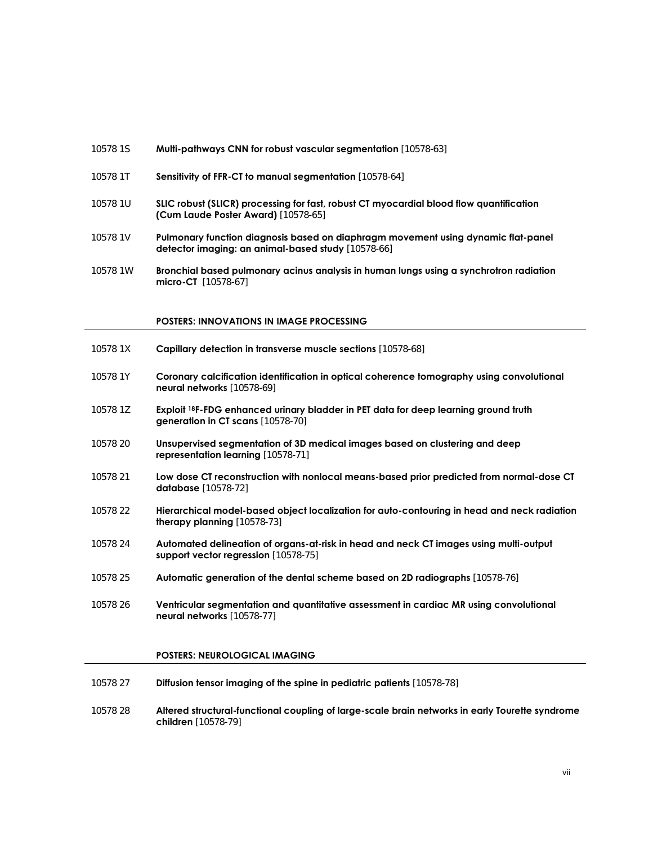- 10578 1S **Multi-pathways CNN for robust vascular segmentation** [10578-63]
- 10578 1T **Sensitivity of FFR-CT to manual segmentation** [10578-64]
- 10578 1U **SLIC robust (SLICR) processing for fast, robust CT myocardial blood flow quantification (Cum Laude Poster Award)** [10578-65]
- 10578 1V **Pulmonary function diagnosis based on diaphragm movement using dynamic flat-panel detector imaging: an animal-based study** [10578-66]
- 10578 1W **Bronchial based pulmonary acinus analysis in human lungs using a synchrotron radiation micro-CT** [10578-67]

#### **POSTERS: INNOVATIONS IN IMAGE PROCESSING**

- 10578 1X **Capillary detection in transverse muscle sections** [10578-68]
- 10578 1Y **Coronary calcification identification in optical coherence tomography using convolutional neural networks** [10578-69]
- 10578 1Z **Exploit 18F-FDG enhanced urinary bladder in PET data for deep learning ground truth generation in CT scans** [10578-70]
- 10578 20 **Unsupervised segmentation of 3D medical images based on clustering and deep representation learning** [10578-71]
- 10578 21 **Low dose CT reconstruction with nonlocal means-based prior predicted from normal-dose CT database** [10578-72]
- 10578 22 **Hierarchical model-based object localization for auto-contouring in head and neck radiation therapy planning** [10578-73]
- 10578 24 **Automated delineation of organs-at-risk in head and neck CT images using multi-output support vector regression** [10578-75]
- 10578 25 **Automatic generation of the dental scheme based on 2D radiographs** [10578-76]
- 10578 26 **Ventricular segmentation and quantitative assessment in cardiac MR using convolutional neural networks** [10578-77]

# **POSTERS: NEUROLOGICAL IMAGING**

- 10578 27 **Diffusion tensor imaging of the spine in pediatric patients** [10578-78]
- 10578 28 **Altered structural-functional coupling of large-scale brain networks in early Tourette syndrome children** [10578-79]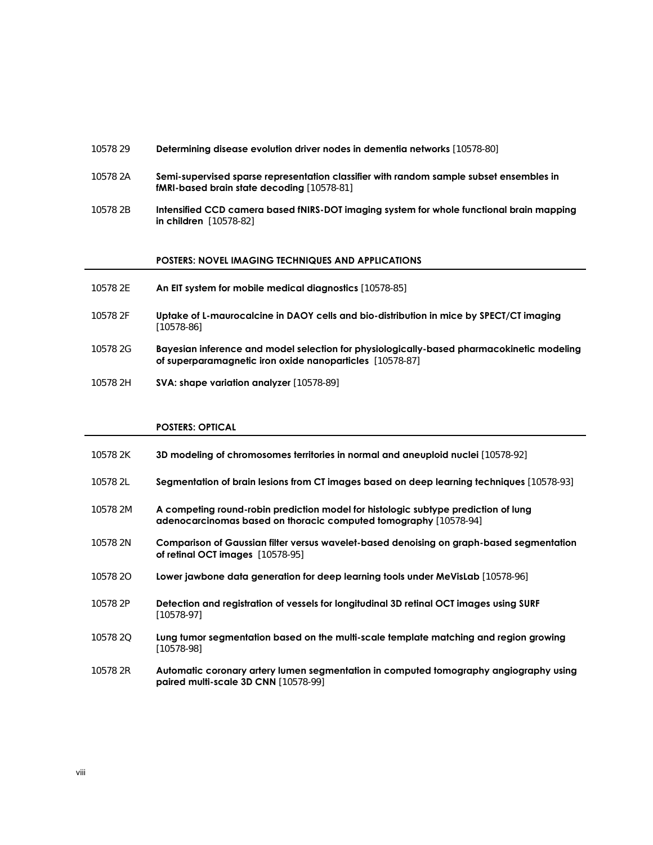#### 10578 29 **Determining disease evolution driver nodes in dementia networks** [10578-80]

- 10578 2A **Semi-supervised sparse representation classifier with random sample subset ensembles in fMRI-based brain state decoding** [10578-81]
- 10578 2B **Intensified CCD camera based fNIRS-DOT imaging system for whole functional brain mapping in children** [10578-82]

#### **POSTERS: NOVEL IMAGING TECHNIQUES AND APPLICATIONS**

- 10578 2E **An EIT system for mobile medical diagnostics** [10578-85]
- 10578 2F **Uptake of L-maurocalcine in DAOY cells and bio-distribution in mice by SPECT/CT imaging** [10578-86]
- 10578 2G **Bayesian inference and model selection for physiologically-based pharmacokinetic modeling of superparamagnetic iron oxide nanoparticles** [10578-87]
- 10578 2H **SVA: shape variation analyzer** [10578-89]

### **POSTERS: OPTICAL**

- 10578 2K **3D modeling of chromosomes territories in normal and aneuploid nuclei** [10578-92]
- 10578 2L **Segmentation of brain lesions from CT images based on deep learning techniques** [10578-93]
- 10578 2M **A competing round-robin prediction model for histologic subtype prediction of lung adenocarcinomas based on thoracic computed tomography** [10578-94]
- 10578 2N **Comparison of Gaussian filter versus wavelet-based denoising on graph-based segmentation of retinal OCT images** [10578-95]
- 10578 2O **Lower jawbone data generation for deep learning tools under MeVisLab** [10578-96]
- 10578 2P **Detection and registration of vessels for longitudinal 3D retinal OCT images using SURF** [10578-97]
- 10578 2Q **Lung tumor segmentation based on the multi-scale template matching and region growing** [10578-98]
- 10578 2R **Automatic coronary artery lumen segmentation in computed tomography angiography using paired multi-scale 3D CNN** [10578-99]